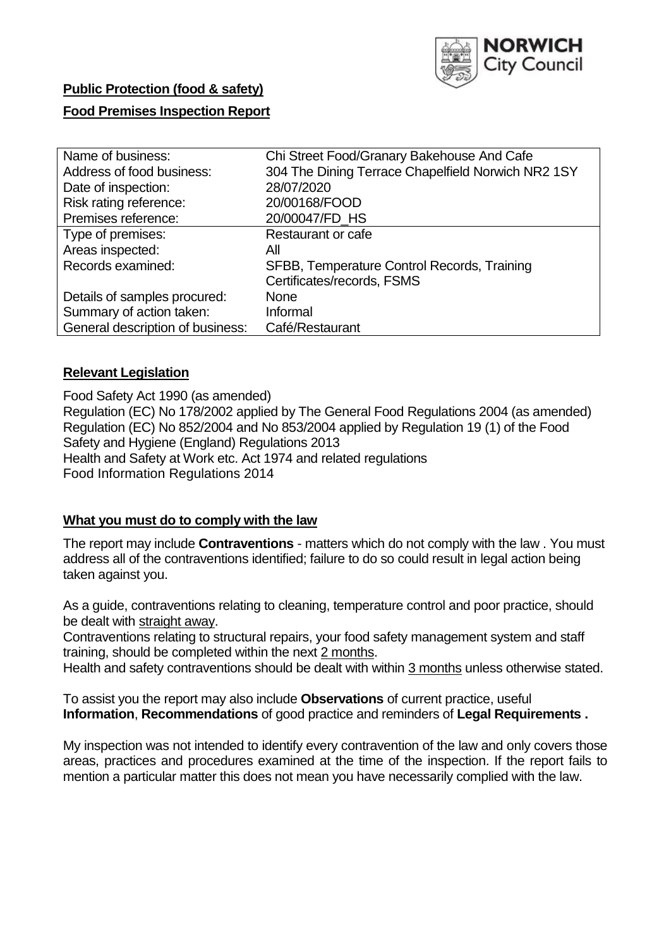

# **Public Protection (food & safety) Food Premises Inspection Report**

| Name of business:                | Chi Street Food/Granary Bakehouse And Cafe         |  |  |  |  |
|----------------------------------|----------------------------------------------------|--|--|--|--|
| Address of food business:        | 304 The Dining Terrace Chapelfield Norwich NR2 1SY |  |  |  |  |
| Date of inspection:              | 28/07/2020                                         |  |  |  |  |
| Risk rating reference:           | 20/00168/FOOD                                      |  |  |  |  |
| Premises reference:              | 20/00047/FD HS                                     |  |  |  |  |
| Type of premises:                | <b>Restaurant or cafe</b>                          |  |  |  |  |
| Areas inspected:                 | Αll                                                |  |  |  |  |
| Records examined:                | SFBB, Temperature Control Records, Training        |  |  |  |  |
|                                  | Certificates/records, FSMS                         |  |  |  |  |
| Details of samples procured:     | <b>None</b>                                        |  |  |  |  |
| Summary of action taken:         | Informal                                           |  |  |  |  |
| General description of business: | Café/Restaurant                                    |  |  |  |  |
|                                  |                                                    |  |  |  |  |

### **Relevant Legislation**

Food Safety Act 1990 (as amended) Regulation (EC) No 178/2002 applied by The General Food Regulations 2004 (as amended) Regulation (EC) No 852/2004 and No 853/2004 applied by Regulation 19 (1) of the Food Safety and Hygiene (England) Regulations 2013 Health and Safety at Work etc. Act 1974 and related regulations Food Information Regulations 2014

### **What you must do to comply with the law**

The report may include **Contraventions** - matters which do not comply with the law . You must address all of the contraventions identified; failure to do so could result in legal action being taken against you.

As a guide, contraventions relating to cleaning, temperature control and poor practice, should be dealt with straight away.

Contraventions relating to structural repairs, your food safety management system and staff training, should be completed within the next 2 months.

Health and safety contraventions should be dealt with within 3 months unless otherwise stated.

To assist you the report may also include **Observations** of current practice, useful **Information**, **Recommendations** of good practice and reminders of **Legal Requirements .** 

My inspection was not intended to identify every contravention of the law and only covers those areas, practices and procedures examined at the time of the inspection. If the report fails to mention a particular matter this does not mean you have necessarily complied with the law.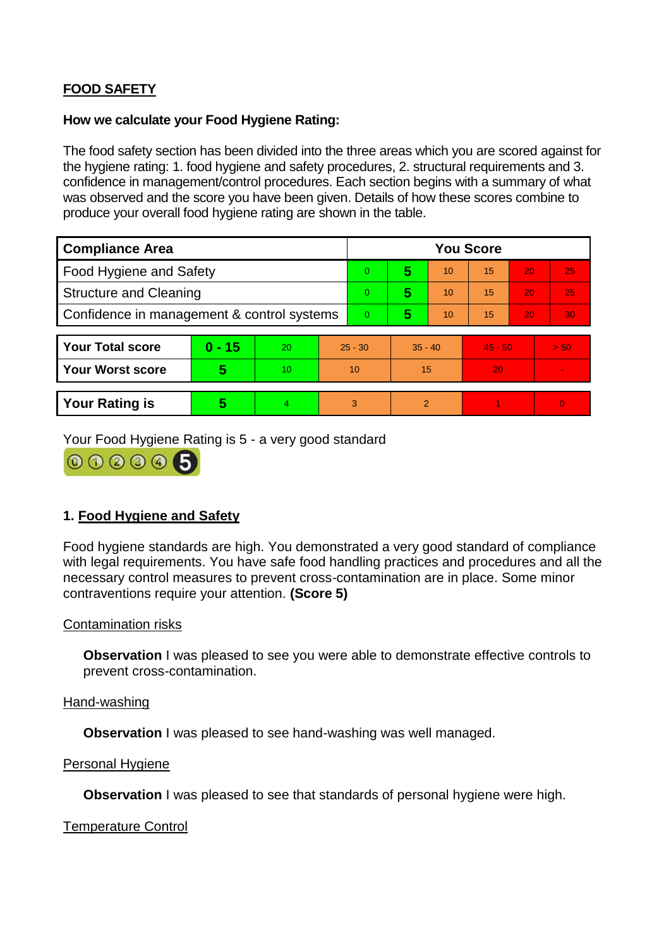## **FOOD SAFETY**

#### **How we calculate your Food Hygiene Rating:**

The food safety section has been divided into the three areas which you are scored against for the hygiene rating: 1. food hygiene and safety procedures, 2. structural requirements and 3. confidence in management/control procedures. Each section begins with a summary of what was observed and the score you have been given. Details of how these scores combine to produce your overall food hygiene rating are shown in the table.

| <b>Compliance Area</b>                     |          |    |                | <b>You Score</b> |                |    |           |    |          |  |  |
|--------------------------------------------|----------|----|----------------|------------------|----------------|----|-----------|----|----------|--|--|
| <b>Food Hygiene and Safety</b>             |          |    | $\Omega$       | 5                | 10             | 15 | 20        | 25 |          |  |  |
| <b>Structure and Cleaning</b>              |          |    | $\Omega$       | 5                | 10             | 15 | 20        | 25 |          |  |  |
| Confidence in management & control systems |          |    | $\overline{0}$ | 5                | 10             | 15 | 20        | 30 |          |  |  |
|                                            |          |    |                |                  |                |    |           |    |          |  |  |
| <b>Your Total score</b>                    | $0 - 15$ | 20 | $25 - 30$      |                  | $35 - 40$      |    | $45 - 50$ |    | > 50     |  |  |
| Your Worst score                           | 5        | 10 |                | 10               |                | 15 |           |    |          |  |  |
|                                            |          |    |                |                  |                |    |           |    |          |  |  |
| <b>Your Rating is</b>                      | 5        | 4. | 3              |                  | $\overline{2}$ |    |           |    | $\Omega$ |  |  |

Your Food Hygiene Rating is 5 - a very good standard

000005

## **1. Food Hygiene and Safety**

Food hygiene standards are high. You demonstrated a very good standard of compliance with legal requirements. You have safe food handling practices and procedures and all the necessary control measures to prevent cross-contamination are in place. Some minor contraventions require your attention. **(Score 5)** 

### Contamination risks

**Observation** I was pleased to see you were able to demonstrate effective controls to prevent cross-contamination.

#### Hand-washing

**Observation** I was pleased to see hand-washing was well managed.

#### Personal Hygiene

**Observation** I was pleased to see that standards of personal hygiene were high.

### Temperature Control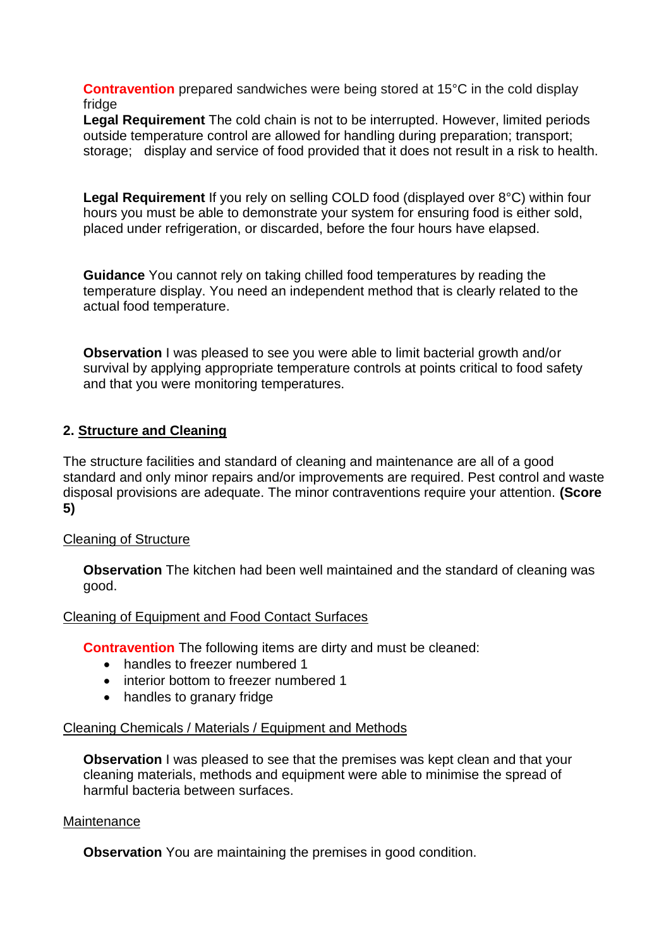**Contravention** prepared sandwiches were being stored at 15°C in the cold display fridge

**Legal Requirement** The cold chain is not to be interrupted. However, limited periods outside temperature control are allowed for handling during preparation; transport; storage; display and service of food provided that it does not result in a risk to health.

**Legal Requirement** If you rely on selling COLD food (displayed over 8°C) within four hours you must be able to demonstrate your system for ensuring food is either sold, placed under refrigeration, or discarded, before the four hours have elapsed.

**Guidance** You cannot rely on taking chilled food temperatures by reading the temperature display. You need an independent method that is clearly related to the actual food temperature.

**Observation** I was pleased to see you were able to limit bacterial growth and/or survival by applying appropriate temperature controls at points critical to food safety and that you were monitoring temperatures.

## **2. Structure and Cleaning**

The structure facilities and standard of cleaning and maintenance are all of a good standard and only minor repairs and/or improvements are required. Pest control and waste disposal provisions are adequate. The minor contraventions require your attention. **(Score 5)** 

## Cleaning of Structure

**Observation** The kitchen had been well maintained and the standard of cleaning was good.

### Cleaning of Equipment and Food Contact Surfaces

**Contravention** The following items are dirty and must be cleaned:

- handles to freezer numbered 1
- interior bottom to freezer numbered 1
- handles to granary fridge

### Cleaning Chemicals / Materials / Equipment and Methods

**Observation** I was pleased to see that the premises was kept clean and that your cleaning materials, methods and equipment were able to minimise the spread of harmful bacteria between surfaces.

### **Maintenance**

**Observation** You are maintaining the premises in good condition.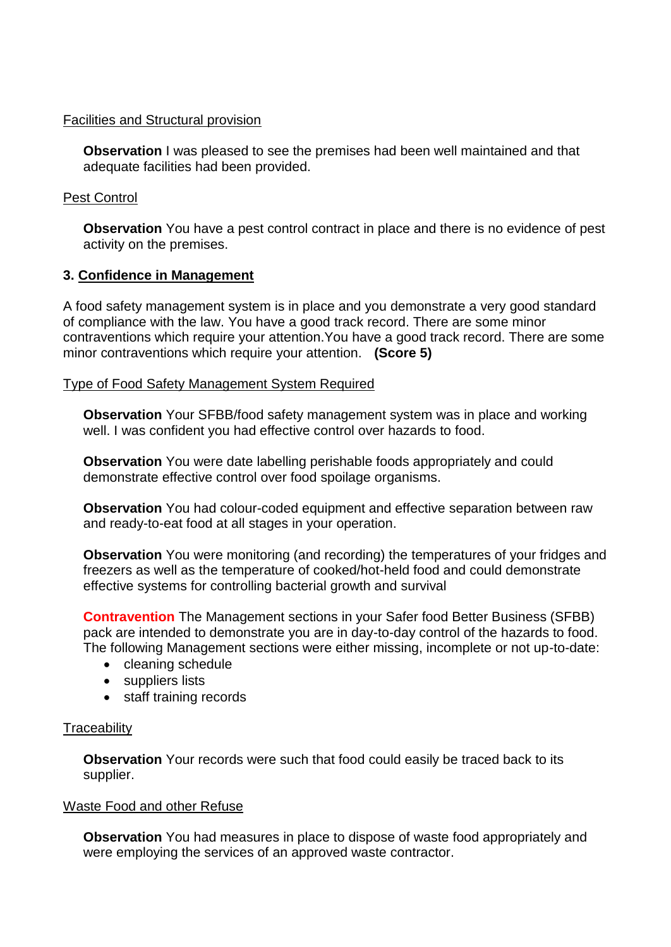#### Facilities and Structural provision

**Observation** I was pleased to see the premises had been well maintained and that adequate facilities had been provided.

### Pest Control

**Observation** You have a pest control contract in place and there is no evidence of pest activity on the premises.

### **3. Confidence in Management**

A food safety management system is in place and you demonstrate a very good standard of compliance with the law. You have a good track record. There are some minor contraventions which require your attention.You have a good track record. There are some minor contraventions which require your attention. **(Score 5)** 

### Type of Food Safety Management System Required

**Observation** Your SFBB/food safety management system was in place and working well. I was confident you had effective control over hazards to food.

**Observation** You were date labelling perishable foods appropriately and could demonstrate effective control over food spoilage organisms.

**Observation** You had colour-coded equipment and effective separation between raw and ready-to-eat food at all stages in your operation.

**Observation** You were monitoring (and recording) the temperatures of your fridges and freezers as well as the temperature of cooked/hot-held food and could demonstrate effective systems for controlling bacterial growth and survival

**Contravention** The Management sections in your Safer food Better Business (SFBB) pack are intended to demonstrate you are in day-to-day control of the hazards to food. The following Management sections were either missing, incomplete or not up-to-date:

- cleaning schedule
- suppliers lists
- staff training records

## **Traceability**

**Observation** Your records were such that food could easily be traced back to its supplier.

### Waste Food and other Refuse

**Observation** You had measures in place to dispose of waste food appropriately and were employing the services of an approved waste contractor.